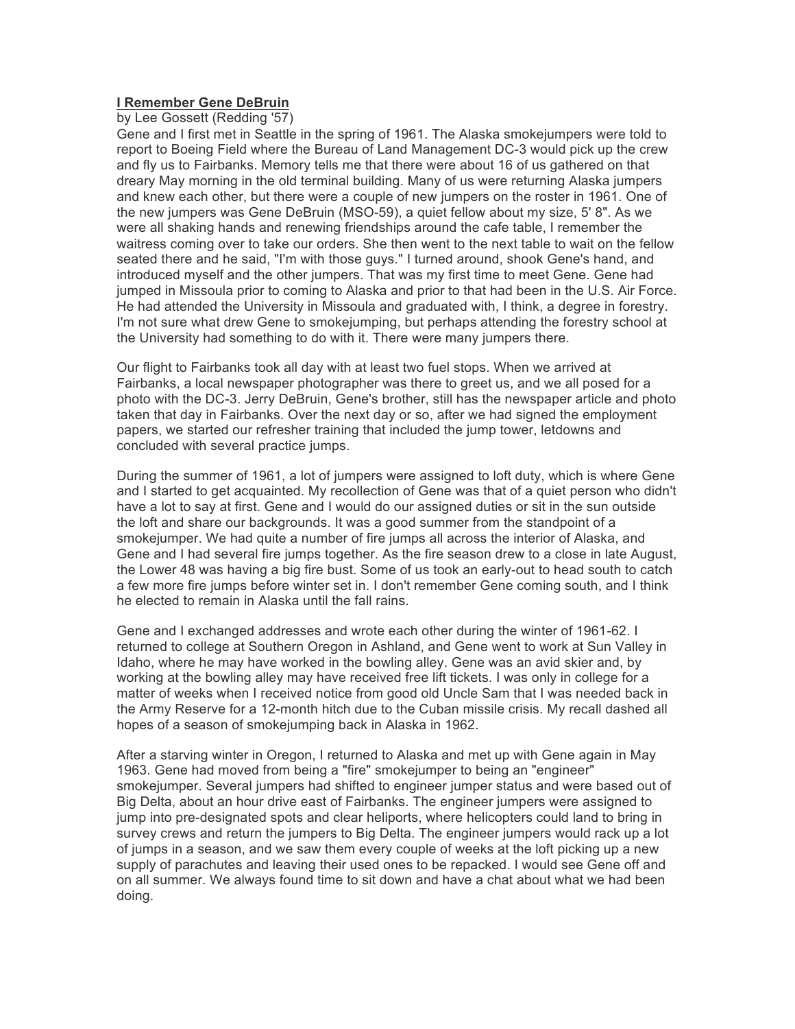## **I Remember Gene DeBruin**

by Lee Gossett (Redding '57)

Gene and I first met in Seattle in the spring of 1961. The Alaska smokejumpers were told to report to Boeing Field where the Bureau of Land Management DC-3 would pick up the crew and fly us to Fairbanks. Memory tells me that there were about 16 of us gathered on that dreary May morning in the old terminal building. Many of us were returning Alaska jumpers and knew each other, but there were a couple of new jumpers on the roster in 1961. One of the new jumpers was Gene DeBruin (MSO-59), a quiet fellow about my size, 5' 8". As we were all shaking hands and renewing friendships around the cafe table, I remember the waitress coming over to take our orders. She then went to the next table to wait on the fellow seated there and he said, "I'm with those guys." I turned around, shook Gene's hand, and introduced myself and the other jumpers. That was my first time to meet Gene. Gene had jumped in Missoula prior to coming to Alaska and prior to that had been in the U.S. Air Force. He had attended the University in Missoula and graduated with, I think, a degree in forestry. I'm not sure what drew Gene to smokejumping, but perhaps attending the forestry school at the University had something to do with it. There were many jumpers there.

Our flight to Fairbanks took all day with at least two fuel stops. When we arrived at Fairbanks, a local newspaper photographer was there to greet us, and we all posed for a photo with the DC-3. Jerry DeBruin, Gene's brother, still has the newspaper article and photo taken that day in Fairbanks. Over the next day or so, after we had signed the employment papers, we started our refresher training that included the jump tower, letdowns and concluded with several practice jumps.

During the summer of 1961, a lot of jumpers were assigned to loft duty, which is where Gene and I started to get acquainted. My recollection of Gene was that of a quiet person who didn't have a lot to say at first. Gene and I would do our assigned duties or sit in the sun outside the loft and share our backgrounds. It was a good summer from the standpoint of a smokejumper. We had quite a number of fire jumps all across the interior of Alaska, and Gene and I had several fire jumps together. As the fire season drew to a close in late August, the Lower 48 was having a big fire bust. Some of us took an early-out to head south to catch a few more fire jumps before winter set in. I don't remember Gene coming south, and I think he elected to remain in Alaska until the fall rains.

Gene and I exchanged addresses and wrote each other during the winter of 1961-62. I returned to college at Southern Oregon in Ashland, and Gene went to work at Sun Valley in Idaho, where he may have worked in the bowling alley. Gene was an avid skier and, by working at the bowling alley may have received free lift tickets. I was only in college for a matter of weeks when I received notice from good old Uncle Sam that I was needed back in the Army Reserve for a 12-month hitch due to the Cuban missile crisis. My recall dashed all hopes of a season of smokejumping back in Alaska in 1962.

After a starving winter in Oregon, I returned to Alaska and met up with Gene again in May 1963. Gene had moved from being a "fire" smokejumper to being an "engineer" smokejumper. Several jumpers had shifted to engineer jumper status and were based out of Big Delta, about an hour drive east of Fairbanks. The engineer jumpers were assigned to jump into pre-designated spots and clear heliports, where helicopters could land to bring in survey crews and return the jumpers to Big Delta. The engineer jumpers would rack up a lot of jumps in a season, and we saw them every couple of weeks at the loft picking up a new supply of parachutes and leaving their used ones to be repacked. I would see Gene off and on all summer. We always found time to sit down and have a chat about what we had been doing.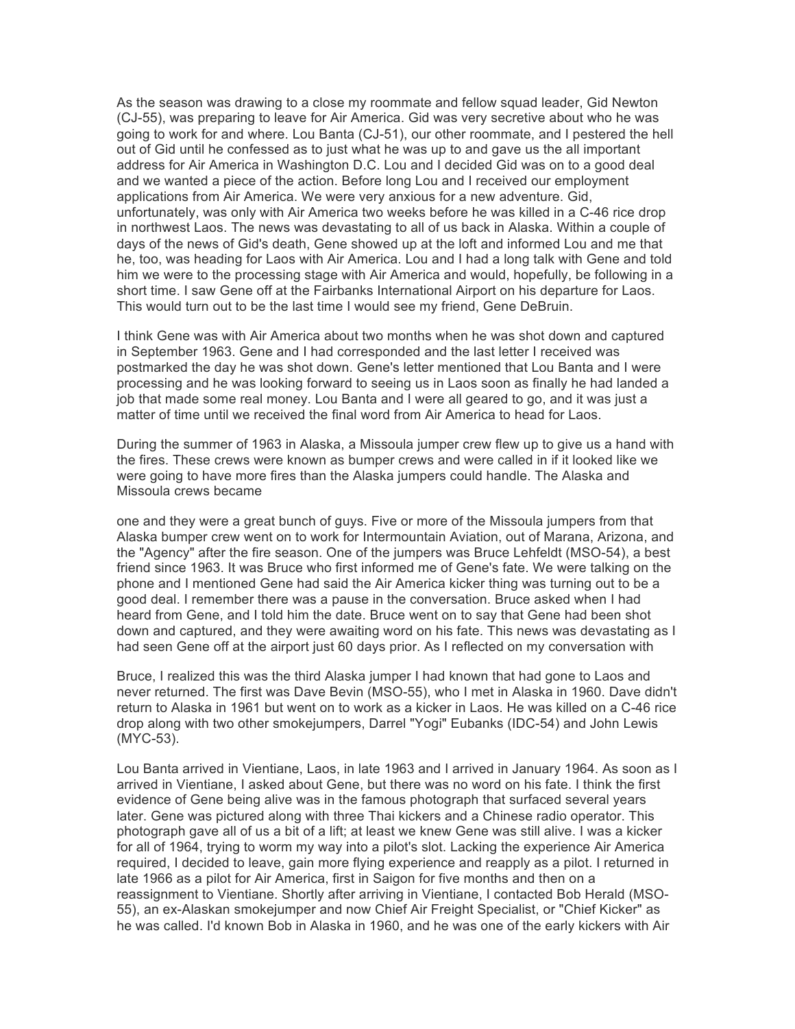As the season was drawing to a close my roommate and fellow squad leader, Gid Newton (CJ-55), was preparing to leave for Air America. Gid was very secretive about who he was going to work for and where. Lou Banta (CJ-51), our other roommate, and I pestered the hell out of Gid until he confessed as to just what he was up to and gave us the all important address for Air America in Washington D.C. Lou and I decided Gid was on to a good deal and we wanted a piece of the action. Before long Lou and I received our employment applications from Air America. We were very anxious for a new adventure. Gid, unfortunately, was only with Air America two weeks before he was killed in a C-46 rice drop in northwest Laos. The news was devastating to all of us back in Alaska. Within a couple of days of the news of Gid's death, Gene showed up at the loft and informed Lou and me that he, too, was heading for Laos with Air America. Lou and I had a long talk with Gene and told him we were to the processing stage with Air America and would, hopefully, be following in a short time. I saw Gene off at the Fairbanks International Airport on his departure for Laos. This would turn out to be the last time I would see my friend, Gene DeBruin.

I think Gene was with Air America about two months when he was shot down and captured in September 1963. Gene and I had corresponded and the last letter I received was postmarked the day he was shot down. Gene's letter mentioned that Lou Banta and I were processing and he was looking forward to seeing us in Laos soon as finally he had landed a job that made some real money. Lou Banta and I were all geared to go, and it was just a matter of time until we received the final word from Air America to head for Laos.

During the summer of 1963 in Alaska, a Missoula jumper crew flew up to give us a hand with the fires. These crews were known as bumper crews and were called in if it looked like we were going to have more fires than the Alaska jumpers could handle. The Alaska and Missoula crews became

one and they were a great bunch of guys. Five or more of the Missoula jumpers from that Alaska bumper crew went on to work for Intermountain Aviation, out of Marana, Arizona, and the "Agency" after the fire season. One of the jumpers was Bruce Lehfeldt (MSO-54), a best friend since 1963. It was Bruce who first informed me of Gene's fate. We were talking on the phone and I mentioned Gene had said the Air America kicker thing was turning out to be a good deal. I remember there was a pause in the conversation. Bruce asked when I had heard from Gene, and I told him the date. Bruce went on to say that Gene had been shot down and captured, and they were awaiting word on his fate. This news was devastating as I had seen Gene off at the airport just 60 days prior. As I reflected on my conversation with

Bruce, I realized this was the third Alaska jumper I had known that had gone to Laos and never returned. The first was Dave Bevin (MSO-55), who I met in Alaska in 1960. Dave didn't return to Alaska in 1961 but went on to work as a kicker in Laos. He was killed on a C-46 rice drop along with two other smokejumpers, Darrel "Yogi" Eubanks (IDC-54) and John Lewis (MYC-53).

Lou Banta arrived in Vientiane, Laos, in late 1963 and I arrived in January 1964. As soon as I arrived in Vientiane, I asked about Gene, but there was no word on his fate. I think the first evidence of Gene being alive was in the famous photograph that surfaced several years later. Gene was pictured along with three Thai kickers and a Chinese radio operator. This photograph gave all of us a bit of a lift; at least we knew Gene was still alive. I was a kicker for all of 1964, trying to worm my way into a pilot's slot. Lacking the experience Air America required, I decided to leave, gain more flying experience and reapply as a pilot. I returned in late 1966 as a pilot for Air America, first in Saigon for five months and then on a reassignment to Vientiane. Shortly after arriving in Vientiane, I contacted Bob Herald (MSO-55), an ex-Alaskan smokejumper and now Chief Air Freight Specialist, or "Chief Kicker" as he was called. I'd known Bob in Alaska in 1960, and he was one of the early kickers with Air